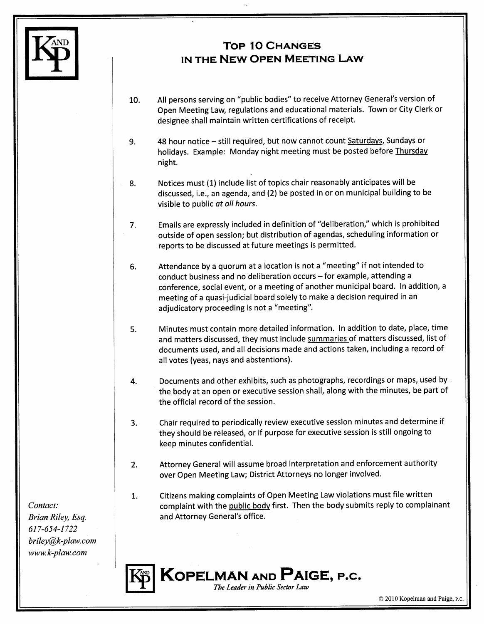

## **TOP 10 CHANGES** IN THE NEW OPEN MEETING LAW

- All persons serving on "public bodies" to receive Attorney General's version of 10. Open Meeting Law, regulations and educational materials. Town or City Clerk or designee shall maintain written certifications of receipt.
- 48 hour notice still required, but now cannot count Saturdays, Sundays or 9. holidays. Example: Monday night meeting must be posted before Thursday night.
- Notices must (1) include list of topics chair reasonably anticipates will be 8. discussed, i.e., an agenda, and (2) be posted in or on municipal building to be visible to public at all hours.
	- Emails are expressly included in definition of "deliberation," which is prohibited  $7<sub>1</sub>$ outside of open session; but distribution of agendas, scheduling information or reports to be discussed at future meetings is permitted.
	- Attendance by a quorum at a location is not a "meeting" if not intended to 6. conduct business and no deliberation occurs - for example, attending a conference, social event, or a meeting of another municipal board. In addition, a meeting of a quasi-judicial board solely to make a decision required in an adjudicatory proceeding is not a "meeting".
	- Minutes must contain more detailed information. In addition to date, place, time 5. and matters discussed, they must include summaries of matters discussed, list of documents used, and all decisions made and actions taken, including a record of all votes (yeas, nays and abstentions).
	- Documents and other exhibits, such as photographs, recordings or maps, used by 4. the body at an open or executive session shall, along with the minutes, be part of the official record of the session.
	- Chair required to periodically review executive session minutes and determine if 3. they should be released, or if purpose for executive session is still ongoing to keep minutes confidential.
	- Attorney General will assume broad interpretation and enforcement authority  $2.$ over Open Meeting Law; District Attorneys no longer involved.
	- Citizens making complaints of Open Meeting Law violations must file written 1. complaint with the public body first. Then the body submits reply to complainant and Attorney General's office.



Contact: Brian Riley, Esq. 617-654-1722  $briley@k-plaw.com$ www.k-plaw.com

© 2010 Kopelman and Paige, P.C.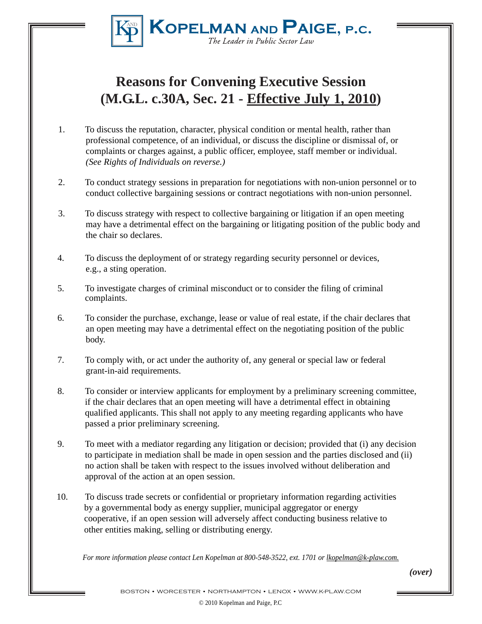

## **Reasons for Convening Executive Session (M.G.L. c.30A, Sec. 21 - Effective July 1, 2010)**

- 1. To discuss the reputation, character, physical condition or mental health, rather than professional competence, of an individual, or discuss the discipline or dismissal of, or complaints or charges against, a public officer, employee, staff member or individual. *(See Rights of Individuals on reverse.)*
- 2. To conduct strategy sessions in preparation for negotiations with non-union personnel or to conduct collective bargaining sessions or contract negotiations with non-union personnel.
- 3. To discuss strategy with respect to collective bargaining or litigation if an open meeting may have a detrimental effect on the bargaining or litigating position of the public body and the chair so declares.
- 4. To discuss the deployment of or strategy regarding security personnel or devices, e.g., a sting operation.
- 5. To investigate charges of criminal misconduct or to consider the filing of criminal complaints.
- 6. To consider the purchase, exchange, lease or value of real estate, if the chair declares that an open meeting may have a detrimental effect on the negotiating position of the public body.
- 7. To comply with, or act under the authority of, any general or special law or federal grant-in-aid requirements.
- 8. To consider or interview applicants for employment by a preliminary screening committee, if the chair declares that an open meeting will have a detrimental effect in obtaining qualified applicants. This shall not apply to any meeting regarding applicants who have passed a prior preliminary screening.
- 9. To meet with a mediator regarding any litigation or decision; provided that (i) any decision to participate in mediation shall be made in open session and the parties disclosed and (ii) no action shall be taken with respect to the issues involved without deliberation and approval of the action at an open session.
- 10. To discuss trade secrets or confidential or proprietary information regarding activities by a governmental body as energy supplier, municipal aggregator or energy cooperative, if an open session will adversely affect conducting business relative to other entities making, selling or distributing energy.

*For more information please contact Len Kopelman at 800-548-3522, ext. 1701 or lkopelman@k-plaw.com.*

*(over)*